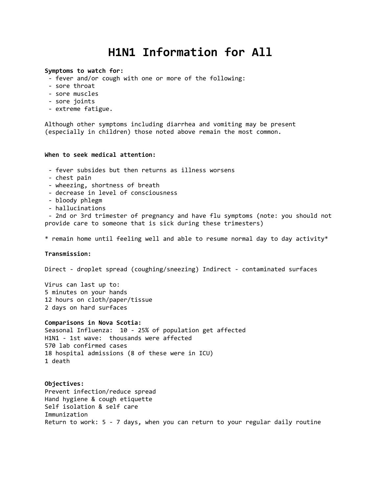# **H1N1 Information for All**

#### **Symptoms to watch for:**

- fever and/or cough with one or more of the following:
- sore throat
- sore muscles
- sore joints
- extreme fatigue.

Although other symptoms including diarrhea and vomiting may be present (especially in children) those noted above remain the most common.

## **When to seek medical attention:**

- fever subsides but then returns as illness worsens
- chest pain
- wheezing, shortness of breath
- decrease in level of consciousness
- bloody phlegm
- hallucinations

- 2nd or 3rd trimester of pregnancy and have flu symptoms (note: you should not provide care to someone that is sick during these trimesters)

\* remain home until feeling well and able to resume normal day to day activity\*

#### **Transmission:**

Direct - droplet spread (coughing/sneezing) Indirect - contaminated surfaces

Virus can last up to: 5 minutes on your hands 12 hours on cloth/paper/tissue 2 days on hard surfaces

#### **Comparisons in Nova Scotia:**

Seasonal Influenza: 10 - 25% of population get affected H1N1 - 1st wave: thousands were affected 570 lab confirmed cases 18 hospital admissions (8 of these were in ICU) 1 death

**Objectives:** Prevent infection/reduce spread Hand hygiene & cough etiquette Self isolation & self care Immunization Return to work: 5 - 7 days, when you can return to your regular daily routine